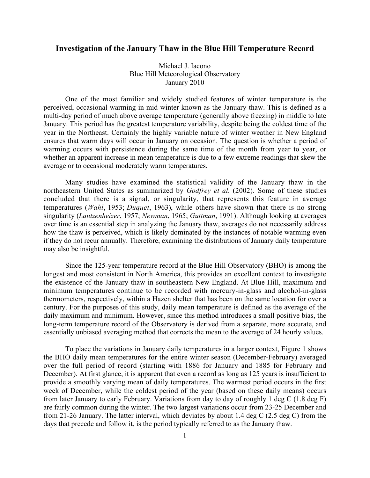## **Investigation of the January Thaw in the Blue Hill Temperature Record**

Michael J. Iacono Blue Hill Meteorological Observatory January 2010

One of the most familiar and widely studied features of winter temperature is the perceived, occasional warming in mid-winter known as the January thaw. This is defined as a multi-day period of much above average temperature (generally above freezing) in middle to late January. This period has the greatest temperature variability, despite being the coldest time of the year in the Northeast. Certainly the highly variable nature of winter weather in New England ensures that warm days will occur in January on occasion. The question is whether a period of warming occurs with persistence during the same time of the month from year to year, or whether an apparent increase in mean temperature is due to a few extreme readings that skew the average or to occasional moderately warm temperatures.

Many studies have examined the statistical validity of the January thaw in the northeastern United States as summarized by *Godfrey et al.* (2002). Some of these studies concluded that there is a signal, or singularity, that represents this feature in average temperatures (*Wahl*, 1953; *Duquet*, 1963), while others have shown that there is no strong singularity (*Lautzenheizer*, 1957; *Newman*, 1965; *Guttman*, 1991). Although looking at averages over time is an essential step in analyzing the January thaw, averages do not necessarily address how the thaw is perceived, which is likely dominated by the instances of notable warming even if they do not recur annually. Therefore, examining the distributions of January daily temperature may also be insightful.

Since the 125-year temperature record at the Blue Hill Observatory (BHO) is among the longest and most consistent in North America, this provides an excellent context to investigate the existence of the January thaw in southeastern New England. At Blue Hill, maximum and minimum temperatures continue to be recorded with mercury-in-glass and alcohol-in-glass thermometers, respectively, within a Hazen shelter that has been on the same location for over a century. For the purposes of this study, daily mean temperature is defined as the average of the daily maximum and minimum. However, since this method introduces a small positive bias, the long-term temperature record of the Observatory is derived from a separate, more accurate, and essentially unbiased averaging method that corrects the mean to the average of 24 hourly values.

To place the variations in January daily temperatures in a larger context, Figure 1 shows the BHO daily mean temperatures for the entire winter season (December-February) averaged over the full period of record (starting with 1886 for January and 1885 for February and December). At first glance, it is apparent that even a record as long as 125 years is insufficient to provide a smoothly varying mean of daily temperatures. The warmest period occurs in the first week of December, while the coldest period of the year (based on these daily means) occurs from later January to early February. Variations from day to day of roughly 1 deg C (1.8 deg F) are fairly common during the winter. The two largest variations occur from 23-25 December and from 21-26 January. The latter interval, which deviates by about 1.4 deg C (2.5 deg C) from the days that precede and follow it, is the period typically referred to as the January thaw.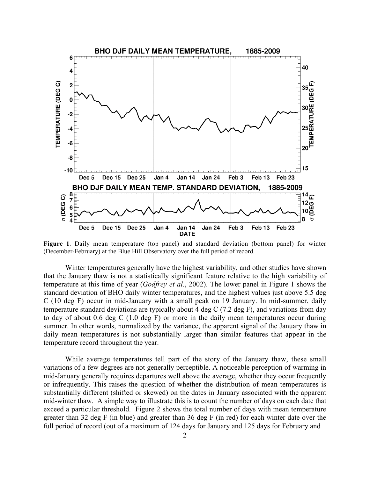

**Figure 1**. Daily mean temperature (top panel) and standard deviation (bottom panel) for winter (December-February) at the Blue Hill Observatory over the full period of record.

Winter temperatures generally have the highest variability, and other studies have shown that the January thaw is not a statistically significant feature relative to the high variability of temperature at this time of year (*Godfrey et al.*, 2002). The lower panel in Figure 1 shows the standard deviation of BHO daily winter temperatures, and the highest values just above 5.5 deg C (10 deg F) occur in mid-January with a small peak on 19 January. In mid-summer, daily temperature standard deviations are typically about 4 deg C (7.2 deg F), and variations from day to day of about 0.6 deg C (1.0 deg F) or more in the daily mean temperatures occur during summer. In other words, normalized by the variance, the apparent signal of the January thaw in daily mean temperatures is not substantially larger than similar features that appear in the temperature record throughout the year.

While average temperatures tell part of the story of the January thaw, these small variations of a few degrees are not generally perceptible. A noticeable perception of warming in mid-January generally requires departures well above the average, whether they occur frequently or infrequently. This raises the question of whether the distribution of mean temperatures is substantially different (shifted or skewed) on the dates in January associated with the apparent mid-winter thaw. A simple way to illustrate this is to count the number of days on each date that exceed a particular threshold. Figure 2 shows the total number of days with mean temperature greater than 32 deg F (in blue) and greater than 36 deg F (in red) for each winter date over the full period of record (out of a maximum of 124 days for January and 125 days for February and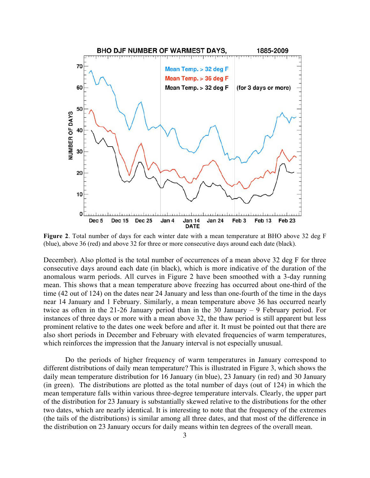

**Figure 2**. Total number of days for each winter date with a mean temperature at BHO above 32 deg F (blue), above 36 (red) and above 32 for three or more consecutive days around each date (black).

December). Also plotted is the total number of occurrences of a mean above 32 deg F for three consecutive days around each date (in black), which is more indicative of the duration of the anomalous warm periods. All curves in Figure 2 have been smoothed with a 3-day running mean. This shows that a mean temperature above freezing has occurred about one-third of the time (42 out of 124) on the dates near 24 January and less than one-fourth of the time in the days near 14 January and 1 February. Similarly, a mean temperature above 36 has occurred nearly twice as often in the 21-26 January period than in the 30 January – 9 February period. For instances of three days or more with a mean above 32, the thaw period is still apparent but less prominent relative to the dates one week before and after it. It must be pointed out that there are also short periods in December and February with elevated frequencies of warm temperatures, which reinforces the impression that the January interval is not especially unusual.

Do the periods of higher frequency of warm temperatures in January correspond to different distributions of daily mean temperature? This is illustrated in Figure 3, which shows the daily mean temperature distribution for 16 January (in blue), 23 January (in red) and 30 January (in green). The distributions are plotted as the total number of days (out of 124) in which the mean temperature falls within various three-degree temperature intervals. Clearly, the upper part of the distribution for 23 January is substantially skewed relative to the distributions for the other two dates, which are nearly identical. It is interesting to note that the frequency of the extremes (the tails of the distributions) is similar among all three dates, and that most of the difference in the distribution on 23 January occurs for daily means within ten degrees of the overall mean.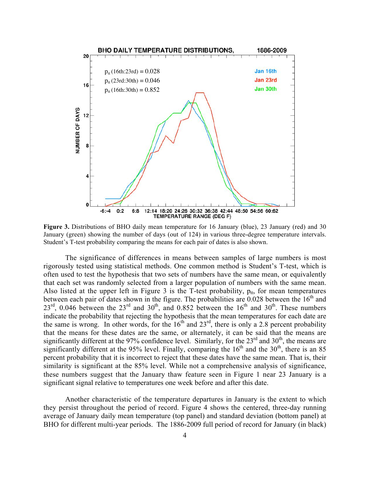

**Figure 3.** Distributions of BHO daily mean temperature for 16 January (blue), 23 January (red) and 30 January (green) showing the number of days (out of 124) in various three-degree temperature intervals. Student's T-test probability comparing the means for each pair of dates is also shown.

The significance of differences in means between samples of large numbers is most rigorously tested using statistical methods. One common method is Student's T-test, which is often used to test the hypothesis that two sets of numbers have the same mean, or equivalently that each set was randomly selected from a larger population of numbers with the same mean. Also listed at the upper left in Figure 3 is the T-test probability,  $p_{tt}$ , for mean temperatures between each pair of dates shown in the figure. The probabilities are  $0.028$  between the  $16<sup>th</sup>$  and  $23^{\text{rd}}$ , 0.046 between the  $23^{\text{rd}}$  and  $30^{\text{th}}$ , and 0.852 between the  $16^{\text{th}}$  and  $30^{\text{th}}$ . These numbers indicate the probability that rejecting the hypothesis that the mean temperatures for each date are the same is wrong. In other words, for the  $16<sup>th</sup>$  and  $23<sup>rd</sup>$ , there is only a 2.8 percent probability that the means for these dates are the same, or alternately, it can be said that the means are significantly different at the 97% confidence level. Similarly, for the  $23<sup>rd</sup>$  and  $30<sup>th</sup>$ , the means are significantly different at the 95% level. Finally, comparing the  $16<sup>th</sup>$  and the  $30<sup>th</sup>$ , there is an 85 percent probability that it is incorrect to reject that these dates have the same mean. That is, their similarity is significant at the 85% level. While not a comprehensive analysis of significance, these numbers suggest that the January thaw feature seen in Figure 1 near 23 January is a significant signal relative to temperatures one week before and after this date.

Another characteristic of the temperature departures in January is the extent to which they persist throughout the period of record. Figure 4 shows the centered, three-day running average of January daily mean temperature (top panel) and standard deviation (bottom panel) at BHO for different multi-year periods. The 1886-2009 full period of record for January (in black)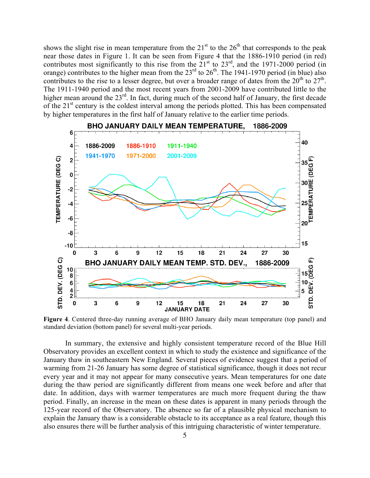shows the slight rise in mean temperature from the  $21<sup>st</sup>$  to the  $26<sup>th</sup>$  that corresponds to the peak near those dates in Figure 1. It can be seen from Figure 4 that the 1886-1910 period (in red) contributes most significantly to this rise from the  $21<sup>st</sup>$  to  $23<sup>rd</sup>$ , and the 1971-2000 period (in orange) contributes to the higher mean from the  $23<sup>rd</sup>$  to  $26<sup>th</sup>$ . The 1941-1970 period (in blue) also contributes to the rise to a lesser degree, but over a broader range of dates from the  $20^{th}$  to  $27^{th}$ . The 1911-1940 period and the most recent years from 2001-2009 have contributed little to the higher mean around the 23<sup>rd</sup>. In fact, during much of the second half of January, the first decade of the 21<sup>st</sup> century is the coldest interval among the periods plotted. This has been compensated by higher temperatures in the first half of January relative to the earlier time periods.



**Figure 4**. Centered three-day running average of BHO January daily mean temperature (top panel) and standard deviation (bottom panel) for several multi-year periods.

In summary, the extensive and highly consistent temperature record of the Blue Hill Observatory provides an excellent context in which to study the existence and significance of the January thaw in southeastern New England. Several pieces of evidence suggest that a period of warming from 21-26 January has some degree of statistical significance, though it does not recur every year and it may not appear for many consecutive years. Mean temperatures for one date during the thaw period are significantly different from means one week before and after that date. In addition, days with warmer temperatures are much more frequent during the thaw period. Finally, an increase in the mean on these dates is apparent in many periods through the 125-year record of the Observatory. The absence so far of a plausible physical mechanism to explain the January thaw is a considerable obstacle to its acceptance as a real feature, though this also ensures there will be further analysis of this intriguing characteristic of winter temperature.